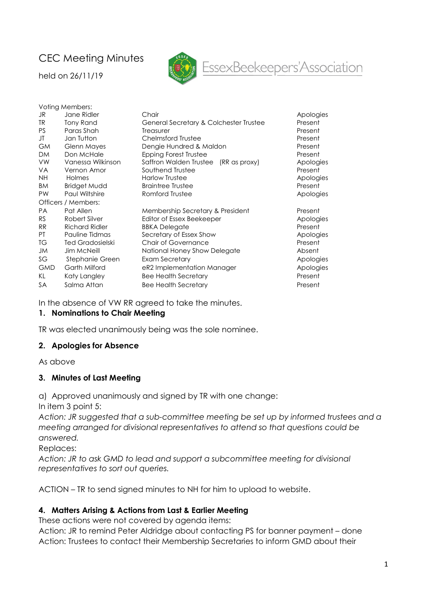# CEC Meeting Minutes

held on 26/11/19



# EssexBeekeepers'Association

| Voting Members:     |                         |                                        |           |  |  |  |  |
|---------------------|-------------------------|----------------------------------------|-----------|--|--|--|--|
| JR                  | Jane Ridler             | Chair                                  | Apologies |  |  |  |  |
| TR.                 | Tony Rand               | General Secretary & Colchester Trustee | Present   |  |  |  |  |
| PS.                 | Paras Shah              | Treasurer                              | Present   |  |  |  |  |
| JT                  | Jan Tutton              | <b>Chelmsford Trustee</b>              | Present   |  |  |  |  |
| <b>GM</b>           | <b>Glenn Mayes</b>      | Dengie Hundred & Maldon                | Present   |  |  |  |  |
| <b>DM</b>           | Don McHale              | Epping Forest Trustee                  | Present   |  |  |  |  |
| <b>VW</b>           | Vanessa Wilkinson       | Saffron Walden Trustee (RR as proxy)   | Apologies |  |  |  |  |
| <b>VA</b>           | Vernon Amor             | Southend Trustee                       | Present   |  |  |  |  |
| <b>NH</b>           | Holmes                  | <b>Harlow Trustee</b>                  | Apologies |  |  |  |  |
| <b>BM</b>           | <b>Bridget Mudd</b>     | <b>Braintree Trustee</b>               | Present   |  |  |  |  |
| PW                  | Paul Wiltshire          | Romford Trustee                        | Apologies |  |  |  |  |
| Officers / Members: |                         |                                        |           |  |  |  |  |
| <b>PA</b>           | Pat Allen               | Membership Secretary & President       | Present   |  |  |  |  |
| <b>RS</b>           | Robert Silver           | Editor of Essex Beekeeper              | Apologies |  |  |  |  |
| <b>RR</b>           | <b>Richard Ridler</b>   | <b>BBKA Delegate</b>                   | Present   |  |  |  |  |
| PT.                 | Pauline Tidmas          | Secretary of Essex Show                | Apologies |  |  |  |  |
| TG                  | <b>Ted Gradosielski</b> | <b>Chair of Governance</b>             | Present   |  |  |  |  |
| JM                  | <b>Jim McNeill</b>      | National Honey Show Delegate           | Absent    |  |  |  |  |
| SG                  | Stephanie Green         | Exam Secretary                         | Apologies |  |  |  |  |
| <b>GMD</b>          | Garth Milford           | eR2 Implementation Manager             | Apologies |  |  |  |  |
| KL                  | Katy Langley            | <b>Bee Health Secretary</b>            | Present   |  |  |  |  |
| <b>SA</b>           | Salma Attan             | <b>Bee Health Secretary</b>            | Present   |  |  |  |  |

In the absence of VW RR agreed to take the minutes.

#### 1. Nominations to Chair Meeting

TR was elected unanimously being was the sole nominee.

#### 2. Apologies for Absence

As above

#### 3. Minutes of Last Meeting

a) Approved unanimously and signed by TR with one change:

In item 3 point 5:

Action: JR suggested that a sub-committee meeting be set up by informed trustees and a meeting arranged for divisional representatives to attend so that questions could be answered.

Replaces:

Action: JR to ask GMD to lead and support a subcommittee meeting for divisional representatives to sort out queries.

ACTION – TR to send signed minutes to NH for him to upload to website.

#### 4. Matters Arising & Actions from Last & Earlier Meeting

These actions were not covered by agenda items:

Action: JR to remind Peter Aldridge about contacting PS for banner payment – done Action: Trustees to contact their Membership Secretaries to inform GMD about their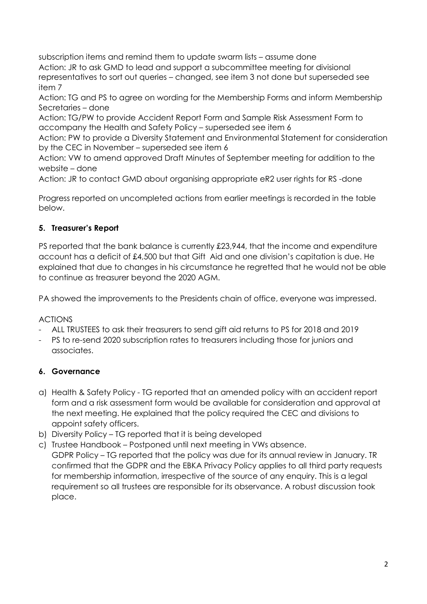subscription items and remind them to update swarm lists – assume done Action: JR to ask GMD to lead and support a subcommittee meeting for divisional representatives to sort out queries – changed, see item 3 not done but superseded see item 7

Action: TG and PS to agree on wording for the Membership Forms and inform Membership Secretaries – done

Action: TG/PW to provide Accident Report Form and Sample Risk Assessment Form to accompany the Health and Safety Policy – superseded see item 6

Action: PW to provide a Diversity Statement and Environmental Statement for consideration by the CEC in November – superseded see item 6

Action: VW to amend approved Draft Minutes of September meeting for addition to the website – done

Action: JR to contact GMD about organising appropriate eR2 user rights for RS -done

Progress reported on uncompleted actions from earlier meetings is recorded in the table below.

## 5. Treasurer's Report

PS reported that the bank balance is currently £23,944, that the income and expenditure account has a deficit of £4,500 but that Gift Aid and one division's capitation is due. He explained that due to changes in his circumstance he regretted that he would not be able to continue as treasurer beyond the 2020 AGM.

PA showed the improvements to the Presidents chain of office, everyone was impressed.

## ACTIONS

- ALL TRUSTEES to ask their treasurers to send gift aid returns to PS for 2018 and 2019
- PS to re-send 2020 subscription rates to treasurers including those for juniors and associates.

## 6. Governance

- a) Health & Safety Policy TG reported that an amended policy with an accident report form and a risk assessment form would be available for consideration and approval at the next meeting. He explained that the policy required the CEC and divisions to appoint safety officers.
- b) Diversity Policy TG reported that it is being developed
- c) Trustee Handbook Postponed until next meeting in VWs absence. GDPR Policy – TG reported that the policy was due for its annual review in January. TR confirmed that the GDPR and the EBKA Privacy Policy applies to all third party requests for membership information, irrespective of the source of any enquiry. This is a legal requirement so all trustees are responsible for its observance. A robust discussion took place.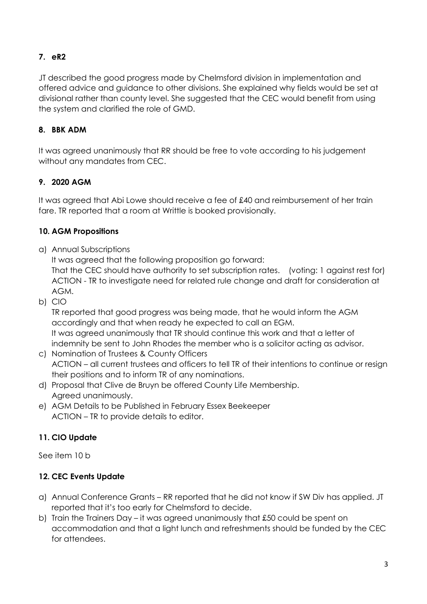## 7. eR2

JT described the good progress made by Chelmsford division in implementation and offered advice and guidance to other divisions. She explained why fields would be set at divisional rather than county level. She suggested that the CEC would benefit from using the system and clarified the role of GMD.

## 8. BBK ADM

It was agreed unanimously that RR should be free to vote according to his judgement without any mandates from CEC.

## 9. 2020 AGM

It was agreed that Abi Lowe should receive a fee of £40 and reimbursement of her train fare. TR reported that a room at Writtle is booked provisionally.

## 10. AGM Propositions

a) Annual Subscriptions

It was agreed that the following proposition go forward:

That the CEC should have authority to set subscription rates. (voting: 1 against rest for) ACTION - TR to investigate need for related rule change and draft for consideration at AGM.

b) CIO

TR reported that good progress was being made, that he would inform the AGM accordingly and that when ready he expected to call an EGM. It was agreed unanimously that TR should continue this work and that a letter of indemnity be sent to John Rhodes the member who is a solicitor acting as advisor.

- c) Nomination of Trustees & County Officers ACTION – all current trustees and officers to tell TR of their intentions to continue or resign their positions and to inform TR of any nominations.
- d) Proposal that Clive de Bruyn be offered County Life Membership. Agreed unanimously.
- e) AGM Details to be Published in February Essex Beekeeper ACTION – TR to provide details to editor.

## 11. CIO Update

See item 10 b

## 12. CEC Events Update

- a) Annual Conference Grants RR reported that he did not know if SW Div has applied. JT reported that it's too early for Chelmsford to decide.
- b) Train the Trainers Day it was agreed unanimously that £50 could be spent on accommodation and that a light lunch and refreshments should be funded by the CEC for attendees.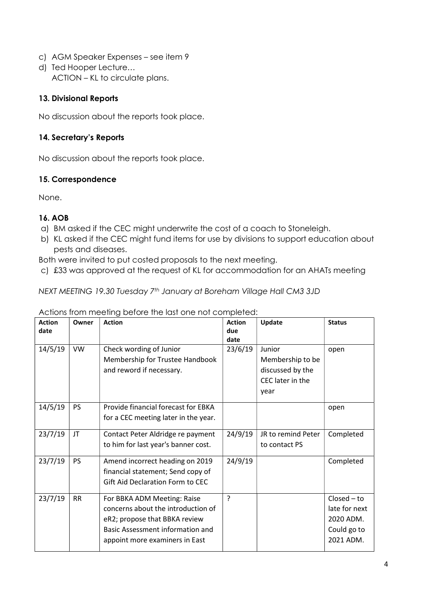- c) AGM Speaker Expenses see item 9
- d) Ted Hooper Lecture… ACTION – KL to circulate plans.

#### 13. Divisional Reports

No discussion about the reports took place.

## 14. Secretary's Reports

No discussion about the reports took place.

### 15. Correspondence

None.

### 16. AOB

- a) BM asked if the CEC might underwrite the cost of a coach to Stoneleigh.
- b) KL asked if the CEC might fund items for use by divisions to support education about pests and diseases.

Both were invited to put costed proposals to the next meeting.

c) £33 was approved at the request of KL for accommodation for an AHATs meeting

NEXT MEETING 19.30 Tuesday 7<sup>th</sup> January at Boreham Village Hall CM3 3JD

| <b>Action</b><br>date | Owner     | <b>Action</b>                                                                                                                                                            | <b>Action</b><br>due<br>date | Update                                                                     | <b>Status</b>                                                           |
|-----------------------|-----------|--------------------------------------------------------------------------------------------------------------------------------------------------------------------------|------------------------------|----------------------------------------------------------------------------|-------------------------------------------------------------------------|
| 14/5/19               | VW        | Check wording of Junior<br>Membership for Trustee Handbook<br>and reword if necessary.                                                                                   | 23/6/19                      | Junior<br>Membership to be<br>discussed by the<br>CEC later in the<br>year | open                                                                    |
| 14/5/19               | <b>PS</b> | Provide financial forecast for EBKA<br>for a CEC meeting later in the year.                                                                                              |                              |                                                                            | open                                                                    |
| 23/7/19               | JT        | Contact Peter Aldridge re payment<br>to him for last year's banner cost.                                                                                                 | 24/9/19                      | JR to remind Peter<br>to contact PS                                        | Completed                                                               |
| 23/7/19               | <b>PS</b> | Amend incorrect heading on 2019<br>financial statement; Send copy of<br>Gift Aid Declaration Form to CEC                                                                 | 24/9/19                      |                                                                            | Completed                                                               |
| 23/7/19               | <b>RR</b> | For BBKA ADM Meeting: Raise<br>concerns about the introduction of<br>eR2; propose that BBKA review<br>Basic Assessment information and<br>appoint more examiners in East | ?                            |                                                                            | $Closed - to$<br>late for next<br>2020 ADM.<br>Could go to<br>2021 ADM. |

#### Actions from meeting before the last one not completed: